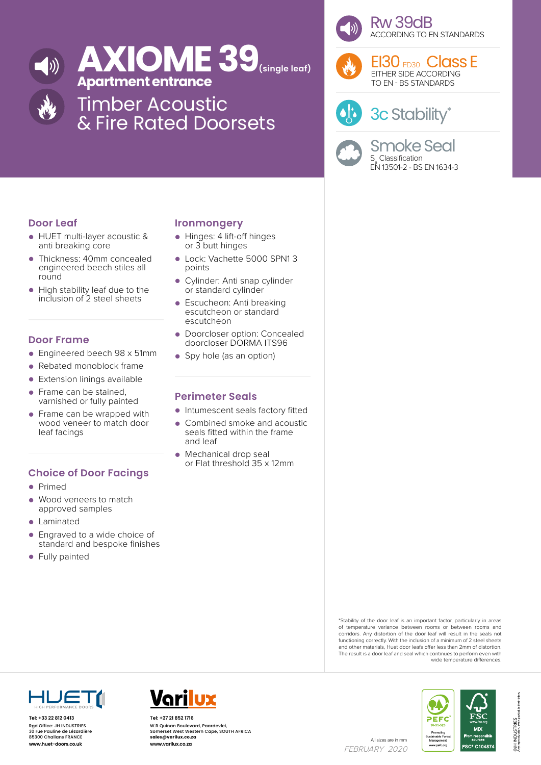

# **AXIOME 39(single leaf) Apartment entrance**

Timber Acoustic & Fire Rated Doorsets



Rw 39dB ACCORDING TO EN STANDARDS



EI30 FD30 Class L EITHER SIDE ACCORDING TO EN - BS STANDARDS



3c Stability\*

Smoke Seal S<sub>a</sub> Classification EN 13501-2 - BS EN 1634-3

# **Door Leaf**

- HUET multi-layer acoustic & anti breaking core
- Thickness: 40mm concealed engineered beech stiles all round
- High stability leaf due to the inclusion of 2 steel sheets

## **Door Frame**

- Engineered beech 98 x 51mm
- Rebated monoblock frame
- **Extension linings available**
- Frame can be stained, varnished or fully painted
- Frame can be wrapped with wood veneer to match door leaf facings

# **Choice of Door Facings**

- Primed
- Wood veneers to match approved samples
- Laminated
- Engraved to a wide choice of standard and bespoke finishes
- Fully painted

### **Ironmongery**

- Hinges: 4 lift-off hinges or 3 butt hinges
- Lock: Vachette 5000 SPN1 3 points
- Cylinder: Anti snap cylinder or standard cylinder
- Escucheon: Anti breaking escutcheon or standard escutcheon
- Doorcloser option: Concealed doorcloser DORMA ITS96
- Spy hole (as an option)

### **Perimeter Seals**

- Intumescent seals factory fitted
- Combined smoke and acoustic seals fitted within the frame and leaf
- Mechanical drop seal or Flat threshold 35 x 12mm

#### of temperature variance between rooms or between rooms and corridors. Any distortion of the door leaf will result in the seals not functioning correctly. With the inclusion of a minimum of 2 steel sheets and other materials, Huet door leafs offer less than 2mm of distortion. The result is a door leaf and seal which continues to perform even with wide temperature differences.

\*Stability of the door leaf is an important factor, particularly in areas



**Tel: +33 22 812 0413** Rgd Office: JH INDUSTRIES 30 rue Pauline de Lézardière 85300 Challans FRANCE



All sizes are in mm<br>**www.huet-doors.co.uk www.varilux.co.za** All sizes are in mm **Tel: +27 21 852 1716** W.R Quinan Boulevard, Paardevlei, Somerset West Western Cape, SOUTH AFRICA **sales@varilux.co.za www.varilux.co.za**

FEBRUARY 2020